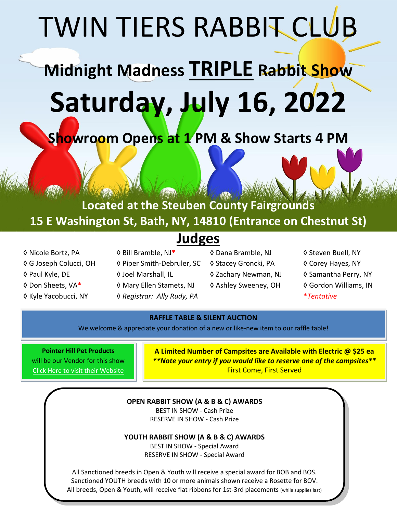# TWIN TIERS RABBIT CLUB

# **Midnight Madness TRIPLE Rabbit Show Saturday, July 16, 2022**

**Showroom Opens at 1 PM & Show Starts 4 PM**

**Located at the Steuben County Fairgrounds 15 E Washington St, Bath, NY, 14810 (Entrance on Chestnut St)**

# **Judges**

- 
- ◊ Nicole Bortz, PA ◊ Bill Bramble, NJ**\*** ◊ Dana Bramble, NJ ◊ Steven Buell, NY ◊ G Joseph Colucci, OH ◊ Piper Smith-Debruler, SC ◊ Stacey Groncki, PA ◊ Corey Hayes, NY ◊ Paul Kyle, DE ◊ Joel Marshall, IL ◊ Zachary Newman, NJ ◊ Samantha Perry, NY ◊ Don Sheets, VA**\*** ◊ Mary Ellen Stamets, NJ ◊ Ashley Sweeney, OH ◊ Gordon Williams, IN ◊ Kyle Yacobucci, NY ◊ *Registrar: Ally Rudy, PA* **\****Tentative*
	- -
- 
- 
- 
- 
- 

#### **RAFFLE TABLE & SILENT AUCTION**

We welcome & appreciate your donation of a new or like-new item to our raffle table!

**Pointer Hill Pet Products** will be our Vendor for this show [Click Here to visit their Website](https://www.pointerhillcagesandpetsupplies.com/)

**A Limited Number of Campsites are Available with Electric @ \$25 ea** *\*\*Note your entry if you would like to reserve one of the campsites\*\**  First Come, First Served

#### **OPEN RABBIT SHOW (A & B & C) AWARDS**

BEST IN SHOW - Cash Prize RESERVE IN SHOW - Cash Prize

**YOUTH RABBIT SHOW (A & B & C) AWARDS**

BEST IN SHOW - Special Award RESERVE IN SHOW - Special Award

All Sanctioned breeds in Open & Youth will receive a special award for BOB and BOS. Sanctioned YOUTH breeds with 10 or more animals shown receive a Rosette for BOV. All breeds, Open & Youth, will receive flat ribbons for 1st-3rd placements (while supplies last)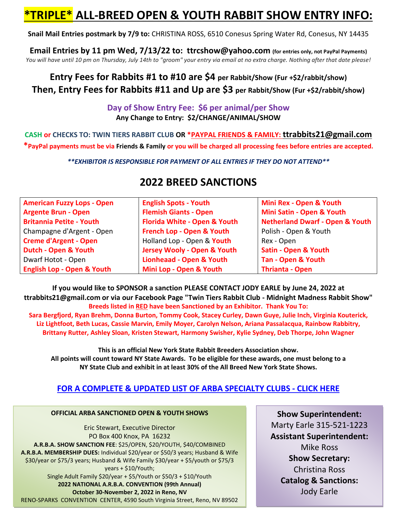# **\*TRIPLE\* ALL-BREED OPEN & YOUTH RABBIT SHOW ENTRY INFO:**

**Snail Mail Entries postmark by 7/9 to:** CHRISTINA ROSS, 6510 Conesus Spring Water Rd, Conesus, NY 14435

**Email Entries by 11 pm Wed, 7/13/22 to: ttrcshow@yahoo.com (for entries only, not PayPal Payments)** *You will have until 10 pm on Thursday, July 14th to "groom" your entry via email at no extra charge. Nothing after that date please!*

# **Entry Fees for Rabbits #1 to #10 are \$4 per Rabbit/Show (Fur +\$2/rabbit/show) Then, Entry Fees for Rabbits #11 and Up are \$3 per Rabbit/Show (Fur +\$2/rabbit/show)**

#### **Day of Show Entry Fee: \$6 per animal/per Show Any Change to Entry: \$2/CHANGE/ANIMAL/SHOW**

**CASH or CHECKS TO: TWIN TIERS RABBIT CLUB OR \*PAYPAL FRIENDS & FAMILY: ttrabbits21@gmail.com \*PayPal payments must be via Friends & Family or you will be charged all processing fees before entries are accepted.**

*\*\*EXHIBITOR IS RESPONSIBLE FOR PAYMENT OF ALL ENTRIES IF THEY DO NOT ATTEND\*\**

| <b>American Fuzzy Lops - Open</b>     | <b>English Spots - Youth</b>           | Mini Rex - Open & Youth                    |
|---------------------------------------|----------------------------------------|--------------------------------------------|
| <b>Argente Brun - Open</b>            | <b>Flemish Giants - Open</b>           | Mini Satin - Open & Youth                  |
| <b>Britannia Petite - Youth</b>       | Florida White - Open & Youth           | <b>Netherland Dwarf - Open &amp; Youth</b> |
| Champagne d'Argent - Open             | French Lop - Open & Youth              | Polish - Open & Youth                      |
| <b>Creme d'Argent - Open</b>          | Holland Lop - Open & Youth             | Rex - Open                                 |
| Dutch - Open & Youth                  | <b>Jersey Wooly - Open &amp; Youth</b> | <b>Satin - Open &amp; Youth</b>            |
| Dwarf Hotot - Open                    | <b>Lionheaad - Open &amp; Youth</b>    | <b>Tan - Open &amp; Youth</b>              |
| <b>English Lop - Open &amp; Youth</b> | Mini Lop - Open & Youth                | <b>Thrianta - Open</b>                     |

# **2022 BREED SANCTIONS**

**If you would like to SPONSOR a sanction PLEASE CONTACT JODY EARLE by June 24, 2022 at ttrabbits21@gmail.com or via our Facebook Page "Twin Tiers Rabbit Club - Midnight Madness Rabbit Show" Breeds listed in RED have been Sanctioned by an Exhibitor. Thank You To:**

**Sara Bergfjord, Ryan Brehm, Donna Burton, Tommy Cook, Stacey Curley, Dawn Guye, Julie Inch, Virginia Kouterick, Liz Lightfoot, Beth Lucas, Cassie Marvin, Emily Moyer, Carolyn Nelson, Ariana Passalacqua, Rainbow Rabbitry, Brittany Rutter, Ashley Sloan, Kristen Stewart, Harmony Swisher, Kylie Sydney, Deb Thorpe, John Wagner**

**This is an official New York State Rabbit Breeders Association show. All points will count toward NY State Awards. To be eligible for these awards, one must belong to a NY State Club and exhibit in at least 30% of the All Breed New York State Shows.**

## **FOR A COMPLETE & UPDATED [LIST OF ARBA SPECIALTY CLUBS -](https://arba.net/national-specialty-clubs/) CLICK HERE**

**OFFICIAL ARBA SANCTIONED OPEN & YOUTH SHOWS** Eric Stewart, Executive Director PO Box 400 Knox, PA 16232 **A.R.B.A. SHOW SANCTION FEE**: \$25/OPEN, \$20/YOUTH, \$40/COMBINED **A.R.B.A. MEMBERSHIP DUES:** Individual \$20/year or \$50/3 years; Husband & Wife \$30/year or \$75/3 years; Husband & Wife Family \$30/year + \$5/youth or \$75/3 years + \$10/Youth; Single Adult Family \$20/year + \$5/Youth or \$50/3 + \$10/Youth **2022 NATIONAL A.R.B.A. CONVENTION (99th Annual) October 30-November 2, 2022 in Reno, NV** RENO-SPARKS CONVENTION CENTER, 4590 South Virginia Street, Reno, NV 89502

**Show Superintendent:** Marty Earle 315-521-1223 **Assistant Superintendent:** Mike Ross **Show Secretary:** Christina Ross **Catalog & Sanctions:** Jody Earle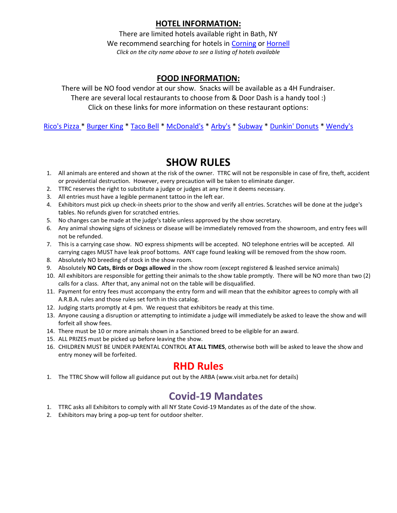### **HOTEL INFORMATION:**

There are limited hotels available right in Bath, NY We recommend searching for hotels in [Corning](https://www.hotels.com/search.do?destination-id=1444853&q-check-in=2021-07-17&q-check-out=2021-07-18&q-rooms=1&q-room-0-adults=2&q-room-0-children=0&sort-order=BEST_SELLER) or [Hornell](https://www.hotels.com/search.do?destination-id=1415103&q-check-in=2021-07-17&q-check-out=2021-07-18&q-rooms=1&q-room-0-adults=2&q-room-0-children=0&sort-order=BEST_SELLER) *Click on the city name above to see a listing of hotels available*

#### **FOOD INFORMATION:**

There will be NO food vendor at our show. Snacks will be available as a 4H Fundraiser. There are several local restaurants to choose from & Door Dash is a handy tool :) Click on these links for more information on these restaurant options:

[Rico's Pizza \\*](http://ricospizza.com/menu/) [Burger King](http://www.bk.com/store-locator/store/restaurant_1382) \* [Taco Bell](http://locations.tacobell.com/ny/bath/368-w--morris-st.html?utm_source=yext&utm_campaign=googlelistings&utm_medium=referral&utm_term=029461&utm_content=website&y_source=1_NjE0MzkzOS03MTUtbG9jYXRpb24ud2Vic2l0ZQ%3D%3D) [\\* McDonald's](http://locations.tacobell.com/ny/bath/368-w--morris-st.html?utm_source=yext&utm_campaign=googlelistings&utm_medium=referral&utm_term=029461&utm_content=website&y_source=1_NjE0MzkzOS03MTUtbG9jYXRpb24ud2Vic2l0ZQ%3D%3D) \* [Arby's](http://locations.arbys.com/ny/bath/380-w-morris-st.html) \* [Subway](http://restaurants.subway.com/united-states/ny/bath/322-west-washington-street?utm_source=yxt-goog&utm_medium=local&utm_term=acq&utm_content=15755&utm_campaign=evergreen-2020) \* [Dunkin' Donuts](http://locations.dunkindonuts.com/en/ny/bath/350-w-morris-st/346361?utm_source=google&utm_medium=local&utm_campaign=localmaps&utm_content=346361) [\\* Wendy's](http://locations.wendys.com/united-states/ny/bath/7748-route-53)

## **SHOW RULES**

- 1. All animals are entered and shown at the risk of the owner. TTRC will not be responsible in case of fire, theft, accident or providential destruction. However, every precaution will be taken to eliminate danger.
- 2. TTRC reserves the right to substitute a judge or judges at any time it deems necessary.
- 3. All entries must have a legible permanent tattoo in the left ear.
- 4. Exhibitors must pick up check-in sheets prior to the show and verify all entries. Scratches will be done at the judge's tables. No refunds given for scratched entries.
- 5. No changes can be made at the judge's table unless approved by the show secretary.
- 6. Any animal showing signs of sickness or disease will be immediately removed from the showroom, and entry fees will not be refunded.
- 7. This is a carrying case show. NO express shipments will be accepted. NO telephone entries will be accepted. All carrying cages MUST have leak proof bottoms. ANY cage found leaking will be removed from the show room.
- 8. Absolutely NO breeding of stock in the show room.
- 9. Absolutely **NO Cats, Birds or Dogs allowed** in the show room (except registered & leashed service animals)
- 10. All exhibitors are responsible for getting their animals to the show table promptly. There will be NO more than two (2) calls for a class. After that, any animal not on the table will be disqualified.
- 11. Payment for entry fees must accompany the entry form and will mean that the exhibitor agrees to comply with all A.R.B.A. rules and those rules set forth in this catalog.
- 12. Judging starts promptly at 4 pm. We request that exhibitors be ready at this time.
- 13. Anyone causing a disruption or attempting to intimidate a judge will immediately be asked to leave the show and will forfeit all show fees.
- 14. There must be 10 or more animals shown in a Sanctioned breed to be eligible for an award.
- 15. ALL PRIZES must be picked up before leaving the show.
- 16. CHILDREN MUST BE UNDER PARENTAL CONTROL **AT ALL TIMES**, otherwise both will be asked to leave the show and entry money will be forfeited.

## **RHD Rules**

1. The TTRC Show will follow all guidance put out by the ARBA (www.visit arba.net for details)

# **Covid-19 Mandates**

- 1. TTRC asks all Exhibitors to comply with all NY State Covid-19 Mandates as of the date of the show.
- 2. Exhibitors may bring a pop-up tent for outdoor shelter.